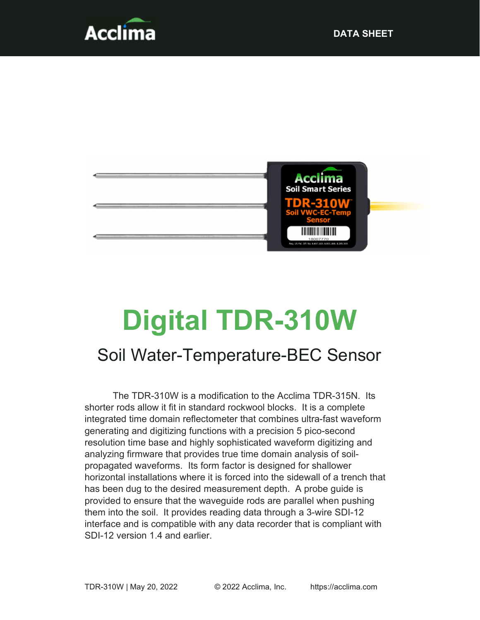



# Digital TDR-310W

# Soil Water-Temperature-BEC Sensor

The TDR-310W is a modification to the Acclima TDR-315N. Its shorter rods allow it fit in standard rockwool blocks. It is a complete integrated time domain reflectometer that combines ultra-fast waveform generating and digitizing functions with a precision 5 pico-second resolution time base and highly sophisticated waveform digitizing and analyzing firmware that provides true time domain analysis of soilpropagated waveforms. Its form factor is designed for shallower horizontal installations where it is forced into the sidewall of a trench that has been dug to the desired measurement depth. A probe guide is provided to ensure that the waveguide rods are parallel when pushing them into the soil. It provides reading data through a 3-wire SDI-12 interface and is compatible with any data recorder that is compliant with SDI-12 version 1.4 and earlier.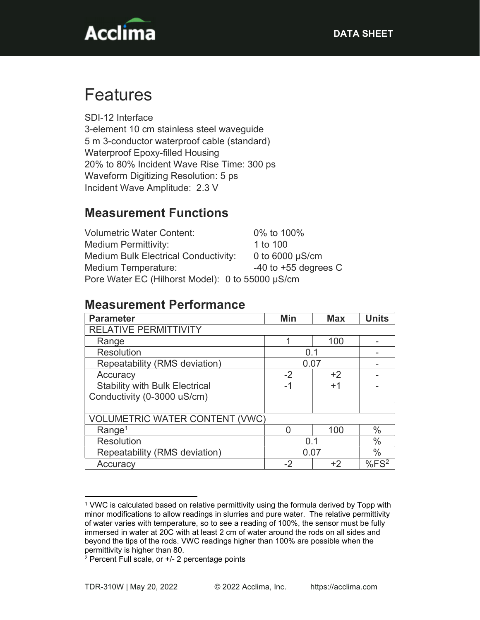

# Features

SDI-12 Interface 3-element 10 cm stainless steel waveguide 5 m 3-conductor waterproof cable (standard) Waterproof Epoxy-filled Housing 20% to 80% Incident Wave Rise Time: 300 ps Waveform Digitizing Resolution: 5 ps Incident Wave Amplitude: 2.3 V

### Measurement Functions

| <b>Volumetric Water Content:</b>                 | 0% to 100%               |  |  |
|--------------------------------------------------|--------------------------|--|--|
| Medium Permittivity:                             | 1 to 100                 |  |  |
| <b>Medium Bulk Electrical Conductivity:</b>      | 0 to $6000 \mu S/cm$     |  |  |
| Medium Temperature:                              | $-40$ to $+55$ degrees C |  |  |
| Pore Water EC (Hilhorst Model): 0 to 55000 µS/cm |                          |  |  |

#### Measurement Performance

| <b>Parameter</b>                      | Min  | <b>Max</b> | <b>Units</b> |
|---------------------------------------|------|------------|--------------|
| <b>RELATIVE PERMITTIVITY</b>          |      |            |              |
| Range                                 | 1    | 100        |              |
| <b>Resolution</b>                     | 0.1  |            |              |
| Repeatability (RMS deviation)         | 0.07 |            |              |
| Accuracy                              | $-2$ | $+2$       |              |
| <b>Stability with Bulk Electrical</b> | -1   | $+1$       |              |
| Conductivity (0-3000 uS/cm)           |      |            |              |
|                                       |      |            |              |
| <b>VOLUMETRIC WATER CONTENT (VWC)</b> |      |            |              |
| Range <sup>1</sup>                    |      | 100        | $\%$         |
| <b>Resolution</b>                     | 0.1  |            | $\%$         |
| Repeatability (RMS deviation)         | 0.07 |            | $\%$         |
| Accuracy                              | -2   | +2         | $%FS^2$      |

<sup>1</sup> VWC is calculated based on relative permittivity using the formula derived by Topp with minor modifications to allow readings in slurries and pure water. The relative permittivity of water varies with temperature, so to see a reading of 100%, the sensor must be fully immersed in water at 20C with at least 2 cm of water around the rods on all sides and beyond the tips of the rods. VWC readings higher than 100% are possible when the permittivity is higher than 80.

<sup>2</sup> Percent Full scale, or +/- 2 percentage points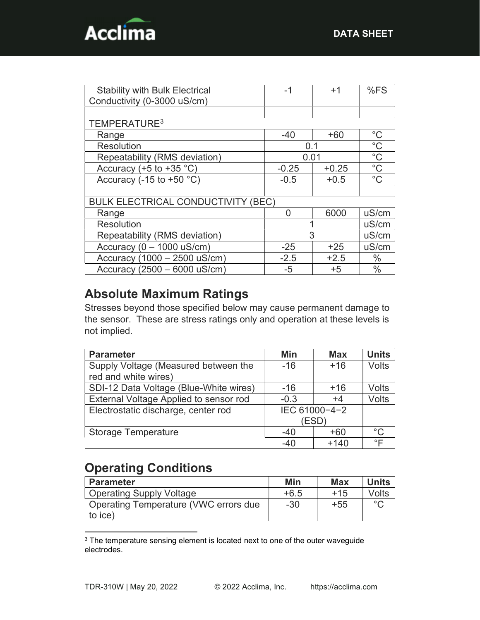

| <b>Stability with Bulk Electrical</b>     | -1      | $+1$    | %FS           |
|-------------------------------------------|---------|---------|---------------|
| Conductivity (0-3000 uS/cm)               |         |         |               |
|                                           |         |         |               |
| TEMPERATURE <sup>3</sup>                  |         |         |               |
| Range                                     | $-40$   | $+60$   | $^{\circ}C$   |
| <b>Resolution</b>                         | 0.1     |         | $^{\circ}C$   |
| Repeatability (RMS deviation)             | 0.01    |         | $^{\circ}$ C  |
| Accuracy (+5 to +35 $°C$ )                | $-0.25$ | $+0.25$ | $^{\circ}$ C  |
| Accuracy (-15 to +50 $°C$ )               | $-0.5$  | $+0.5$  | $^{\circ}C$   |
|                                           |         |         |               |
| <b>BULK ELECTRICAL CONDUCTIVITY (BEC)</b> |         |         |               |
| Range                                     | O       | 6000    | uS/cm         |
| <b>Resolution</b>                         |         |         | uS/cm         |
| Repeatability (RMS deviation)             | 3       |         | uS/cm         |
| Accuracy ( $0 - 1000$ uS/cm)              | $-25$   | $+25$   | uS/cm         |
| Accuracy (1000 - 2500 uS/cm)              | $-2.5$  | $+2.5$  | $\frac{0}{0}$ |
| Accuracy (2500 - 6000 uS/cm)              | $-5$    | $+5$    | $\frac{0}{0}$ |

## Absolute Maximum Ratings

Stresses beyond those specified below may cause permanent damage to the sensor. These are stress ratings only and operation at these levels is not implied.

| <b>Parameter</b>                       | Min           | <b>Max</b> | <b>Units</b> |
|----------------------------------------|---------------|------------|--------------|
| Supply Voltage (Measured between the   | $-16$         | $+16$      | <b>Volts</b> |
| red and white wires)                   |               |            |              |
| SDI-12 Data Voltage (Blue-White wires) | $-16$         | $+16$      | <b>Volts</b> |
| External Voltage Applied to sensor rod | $-0.3$        | $+4$       | Volts        |
| Electrostatic discharge, center rod    | IEC 61000-4-2 |            |              |
|                                        | (ESD)         |            |              |
| <b>Storage Temperature</b>             | $-40$         | +60        | $^{\circ}$ C |
|                                        | -40           | $+140$     | ◦⊏           |

# Operating Conditions

| <b>Parameter</b>                      | Min    | <b>Max</b> | <b>Units</b> |
|---------------------------------------|--------|------------|--------------|
| <b>Operating Supply Voltage</b>       | $+6.5$ | $+15$      | Volts        |
| Operating Temperature (VWC errors due | $-30$  | $+55$      | $\circ$      |
| to ice)                               |        |            |              |

<sup>&</sup>lt;sup>3</sup> The temperature sensing element is located next to one of the outer waveguide electrodes.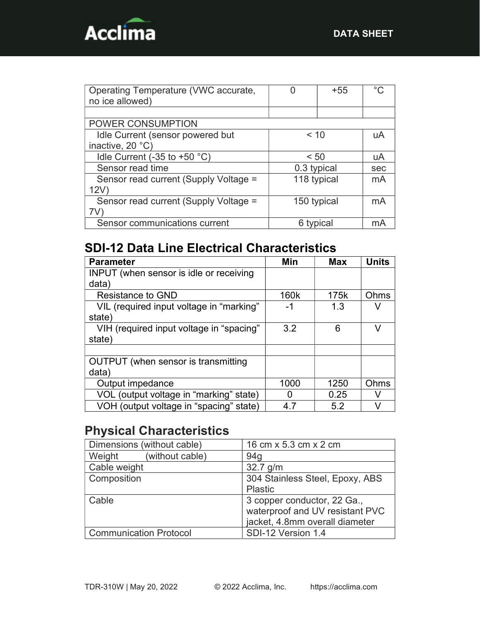

| Operating Temperature (VWC accurate,  |             | +55 | ∘∩  |
|---------------------------------------|-------------|-----|-----|
| no ice allowed)                       |             |     |     |
|                                       |             |     |     |
| POWER CONSUMPTION                     |             |     |     |
| Idle Current (sensor powered but      | < 10        |     | uA  |
| inactive, 20 °C)                      |             |     |     |
| Idle Current (-35 to +50 $°C$ )       | < 50        |     | uA  |
| Sensor read time                      | 0.3 typical |     | sec |
| Sensor read current (Supply Voltage = | 118 typical |     | mA  |
| 12V                                   |             |     |     |
| Sensor read current (Supply Voltage = | 150 typical | mA  |     |
| 7V                                    |             |     |     |
| Sensor communications current         | 6 typical   | mА  |     |

# SDI-12 Data Line Electrical Characteristics

| <b>Parameter</b>                               | Min  | <b>Max</b> | <b>Units</b> |
|------------------------------------------------|------|------------|--------------|
| <b>INPUT</b> (when sensor is idle or receiving |      |            |              |
| data)                                          |      |            |              |
| <b>Resistance to GND</b>                       | 160k | 175k       | Ohms         |
| VIL (required input voltage in "marking"       | -1   | 1.3        |              |
| state)                                         |      |            |              |
| VIH (required input voltage in "spacing"       | 3.2  | 6          | v            |
| state)                                         |      |            |              |
|                                                |      |            |              |
| OUTPUT (when sensor is transmitting            |      |            |              |
| data)                                          |      |            |              |
| Output impedance                               | 1000 | 1250       | Ohms         |
| VOL (output voltage in "marking" state)        | 0    | 0.25       | v            |
| VOH (output voltage in "spacing" state)        | 47   | 5.2        |              |

# Physical Characteristics

| Dimensions (without cable)    | 16 cm x 5.3 cm x 2 cm                                                                            |
|-------------------------------|--------------------------------------------------------------------------------------------------|
| Weight<br>(without cable)     | 94 <sub>g</sub>                                                                                  |
| Cable weight                  | $32.7$ g/m                                                                                       |
| Composition                   | 304 Stainless Steel, Epoxy, ABS<br><b>Plastic</b>                                                |
| Cable                         | 3 copper conductor, 22 Ga.,<br>waterproof and UV resistant PVC<br>jacket, 4.8mm overall diameter |
| <b>Communication Protocol</b> | SDI-12 Version 1.4                                                                               |